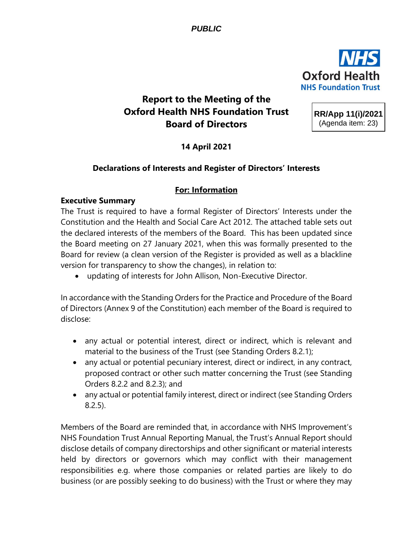*PUBLIC* 



# **Report to the Meeting of the Oxford Health NHS Foundation Trust Board of Directors**

**RR/App 11(i)/2021** (Agenda item: 23)

**14 April 2021**

# **Declarations of Interests and Register of Directors' Interests**

# **For: Information**

### **Executive Summary**

The Trust is required to have a formal Register of Directors' Interests under the Constitution and the Health and Social Care Act 2012. The attached table sets out the declared interests of the members of the Board. This has been updated since the Board meeting on 27 January 2021, when this was formally presented to the Board for review (a clean version of the Register is provided as well as a blackline version for transparency to show the changes), in relation to:

• updating of interests for John Allison, Non-Executive Director.

In accordance with the Standing Orders for the Practice and Procedure of the Board of Directors (Annex 9 of the Constitution) each member of the Board is required to disclose:

- any actual or potential interest, direct or indirect, which is relevant and material to the business of the Trust (see Standing Orders 8.2.1);
- any actual or potential pecuniary interest, direct or indirect, in any contract, proposed contract or other such matter concerning the Trust (see Standing Orders 8.2.2 and 8.2.3); and
- any actual or potential family interest, direct or indirect (see Standing Orders 8.2.5).

Members of the Board are reminded that, in accordance with NHS Improvement's NHS Foundation Trust Annual Reporting Manual, the Trust's Annual Report should disclose details of company directorships and other significant or material interests held by directors or governors which may conflict with their management responsibilities e.g. where those companies or related parties are likely to do business (or are possibly seeking to do business) with the Trust or where they may